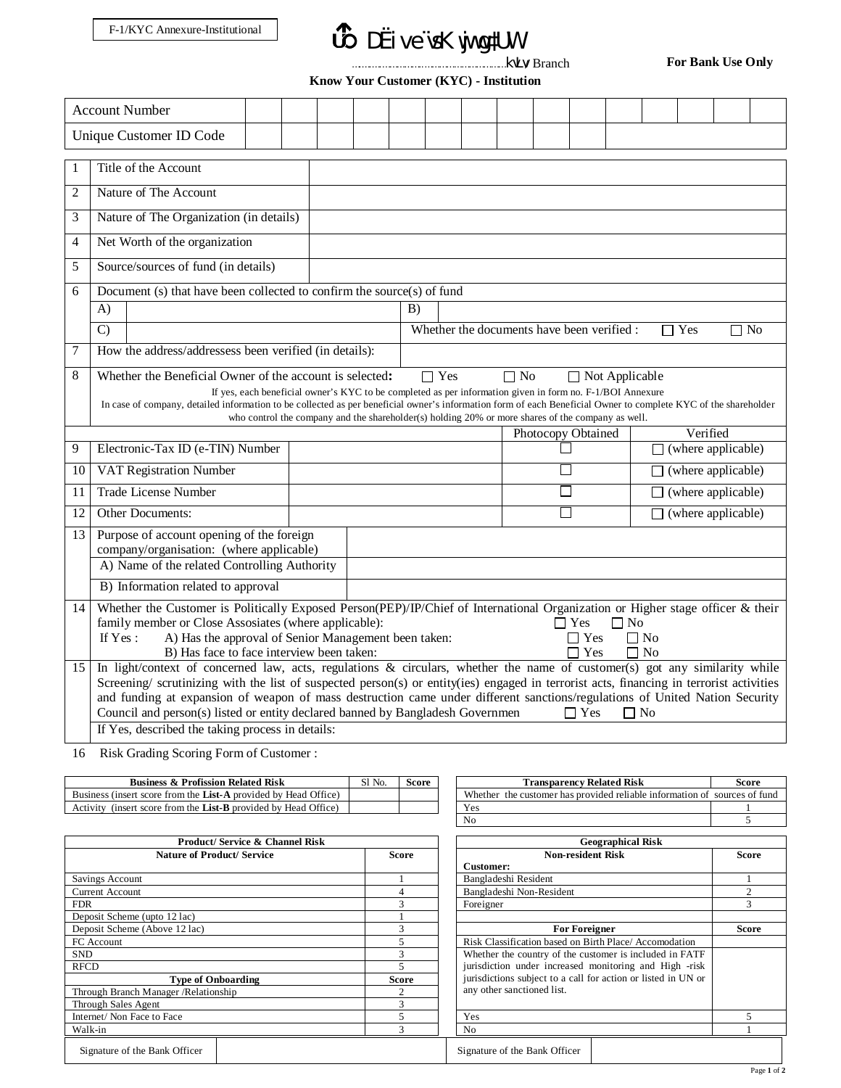## *B* DËive vsK wj wg#UW

…<br>kvLv/ Branch

**For Bank Use Only**

**Know Your Customer (KYC) - Institution**

|                |                                                                                                                                                                                                                                                                                                                                                                                                                                                                                                                    | <b>Account Number</b>                                                                 |  |  |  |  |  |                |  |  |        |                           |                           |                           |  |  |
|----------------|--------------------------------------------------------------------------------------------------------------------------------------------------------------------------------------------------------------------------------------------------------------------------------------------------------------------------------------------------------------------------------------------------------------------------------------------------------------------------------------------------------------------|---------------------------------------------------------------------------------------|--|--|--|--|--|----------------|--|--|--------|---------------------------|---------------------------|---------------------------|--|--|
|                |                                                                                                                                                                                                                                                                                                                                                                                                                                                                                                                    | Unique Customer ID Code                                                               |  |  |  |  |  |                |  |  |        |                           |                           |                           |  |  |
| 1              |                                                                                                                                                                                                                                                                                                                                                                                                                                                                                                                    | Title of the Account                                                                  |  |  |  |  |  |                |  |  |        |                           |                           |                           |  |  |
| $\overline{c}$ |                                                                                                                                                                                                                                                                                                                                                                                                                                                                                                                    | Nature of The Account                                                                 |  |  |  |  |  |                |  |  |        |                           |                           |                           |  |  |
| 3              |                                                                                                                                                                                                                                                                                                                                                                                                                                                                                                                    | Nature of The Organization (in details)                                               |  |  |  |  |  |                |  |  |        |                           |                           |                           |  |  |
| 4              |                                                                                                                                                                                                                                                                                                                                                                                                                                                                                                                    | Net Worth of the organization                                                         |  |  |  |  |  |                |  |  |        |                           |                           |                           |  |  |
| 5              |                                                                                                                                                                                                                                                                                                                                                                                                                                                                                                                    | Source/sources of fund (in details)                                                   |  |  |  |  |  |                |  |  |        |                           |                           |                           |  |  |
| 6              | Document (s) that have been collected to confirm the source(s) of fund                                                                                                                                                                                                                                                                                                                                                                                                                                             |                                                                                       |  |  |  |  |  |                |  |  |        |                           |                           |                           |  |  |
|                | $\mathbf{A}$                                                                                                                                                                                                                                                                                                                                                                                                                                                                                                       |                                                                                       |  |  |  |  |  | $\overline{B}$ |  |  |        |                           |                           |                           |  |  |
|                | Whether the documents have been verified :<br>$\mathcal{C}$<br>$\Box$ Yes<br>$\Box$ No                                                                                                                                                                                                                                                                                                                                                                                                                             |                                                                                       |  |  |  |  |  |                |  |  |        |                           |                           |                           |  |  |
| 7              | How the address/addressess been verified (in details):                                                                                                                                                                                                                                                                                                                                                                                                                                                             |                                                                                       |  |  |  |  |  |                |  |  |        |                           |                           |                           |  |  |
|                | 8<br>Whether the Beneficial Owner of the account is selected:<br>$\Box$ Yes<br>$\Box$ No<br>$\Box$ Not Applicable<br>If yes, each beneficial owner's KYC to be completed as per information given in form no. F-1/BOI Annexure<br>In case of company, detailed information to be collected as per beneficial owner's information form of each Beneficial Owner to complete KYC of the shareholder<br>who control the company and the shareholder(s) holding 20% or more shares of the company as well.             |                                                                                       |  |  |  |  |  |                |  |  |        |                           |                           |                           |  |  |
|                |                                                                                                                                                                                                                                                                                                                                                                                                                                                                                                                    |                                                                                       |  |  |  |  |  |                |  |  |        | Photocopy Obtained        |                           | Verified                  |  |  |
| 9              | Electronic-Tax ID (e-TIN) Number                                                                                                                                                                                                                                                                                                                                                                                                                                                                                   |                                                                                       |  |  |  |  |  |                |  |  |        | $\Box$ (where applicable) |                           |                           |  |  |
| 10             | <b>VAT Registration Number</b>                                                                                                                                                                                                                                                                                                                                                                                                                                                                                     |                                                                                       |  |  |  |  |  |                |  |  | П      | (where applicable)        |                           |                           |  |  |
| 11             |                                                                                                                                                                                                                                                                                                                                                                                                                                                                                                                    | <b>Trade License Number</b>                                                           |  |  |  |  |  |                |  |  |        |                           |                           | $\Box$ (where applicable) |  |  |
| 12             | <b>Other Documents:</b>                                                                                                                                                                                                                                                                                                                                                                                                                                                                                            |                                                                                       |  |  |  |  |  |                |  |  | $\sim$ |                           | $\Box$ (where applicable) |                           |  |  |
| 13             |                                                                                                                                                                                                                                                                                                                                                                                                                                                                                                                    | Purpose of account opening of the foreign<br>company/organisation: (where applicable) |  |  |  |  |  |                |  |  |        |                           |                           |                           |  |  |
|                |                                                                                                                                                                                                                                                                                                                                                                                                                                                                                                                    | A) Name of the related Controlling Authority                                          |  |  |  |  |  |                |  |  |        |                           |                           |                           |  |  |
|                |                                                                                                                                                                                                                                                                                                                                                                                                                                                                                                                    | B) Information related to approval                                                    |  |  |  |  |  |                |  |  |        |                           |                           |                           |  |  |
| 14             | Whether the Customer is Politically Exposed Person(PEP)/IP/Chief of International Organization or Higher stage officer & their<br>family member or Close Assosiates (where applicable):<br>$\Box$ Yes<br>$\Box$ No<br>If $Yes:$<br>A) Has the approval of Senior Management been taken:<br>$\Box$ Yes<br>$\Box$ No<br>B) Has face to face interview been taken:<br>$\Gamma$ Yes<br>$\Box$ No                                                                                                                       |                                                                                       |  |  |  |  |  |                |  |  |        |                           |                           |                           |  |  |
| 15             | In light/context of concerned law, acts, regulations & circulars, whether the name of customer(s) got any similarity while<br>Screening/ scrutinizing with the list of suspected person(s) or entity(ies) engaged in terrorist acts, financing in terrorist activities<br>and funding at expansion of weapon of mass destruction came under different sanctions/regulations of United Nation Security<br>Council and person(s) listed or entity declared banned by Bangladesh Governmen<br>$\Box$ Yes<br>$\Box$ No |                                                                                       |  |  |  |  |  |                |  |  |        |                           |                           |                           |  |  |
|                |                                                                                                                                                                                                                                                                                                                                                                                                                                                                                                                    | If Yes, described the taking process in details:                                      |  |  |  |  |  |                |  |  |        |                           |                           |                           |  |  |

16 Risk Grading Scoring Form of Customer :

| $C1$ N <sub>o</sub><br>JІ | Score | <b>Related Risk</b><br>ransparencv                           | Score                |
|---------------------------|-------|--------------------------------------------------------------|----------------------|
|                           |       | Whether<br>the customer has provided reliable information of | * fund<br>sources of |
|                           |       | $\mathbf{V}_{\mathbf{Q}}$<br>1 C.                            |                      |
|                           |       |                                                              |                      |

| <b>Product/Service &amp; Channel Risk</b> | <b>Geographical Risk</b> |                                                               |                |  |  |
|-------------------------------------------|--------------------------|---------------------------------------------------------------|----------------|--|--|
| Nature of Product/Service                 | <b>Score</b>             | <b>Non-resident Risk</b>                                      | Score          |  |  |
|                                           |                          | Customer:                                                     |                |  |  |
| Savings Account                           |                          | Bangladeshi Resident                                          |                |  |  |
| <b>Current Account</b>                    | 4                        | Bangladeshi Non-Resident                                      | $\mathfrak{2}$ |  |  |
| <b>FDR</b>                                | 3                        | Foreigner                                                     | 3              |  |  |
| Deposit Scheme (upto 12 lac)              |                          |                                                               |                |  |  |
| Deposit Scheme (Above 12 lac)             | 3                        | <b>For Foreigner</b>                                          | Score          |  |  |
| FC Account                                | 5                        | Risk Classification based on Birth Place/Accomodation         |                |  |  |
| <b>SND</b>                                | 3                        | Whether the country of the customer is included in FATF       |                |  |  |
| <b>RFCD</b>                               | 5                        | jurisdiction under increased monitoring and High -risk        |                |  |  |
| <b>Type of Onboarding</b>                 | <b>Score</b>             | jurisdictions subject to a call for action or listed in UN or |                |  |  |
| Through Branch Manager / Relationship     | 2                        | any other sanctioned list.                                    |                |  |  |
| Through Sales Agent                       | 3                        |                                                               |                |  |  |
| Internet/Non Face to Face                 |                          | Yes                                                           |                |  |  |
| Walk-in                                   |                          | No                                                            |                |  |  |
| Signature of the Bank Officer             |                          | Signature of the Bank Officer                                 |                |  |  |

| <b>Transparency Related Risk</b>                                          | Score |
|---------------------------------------------------------------------------|-------|
| Whether the customer has provided reliable information of sources of fund |       |
| Yes                                                                       |       |
| No                                                                        |       |

| <b>Geographical Risk</b>                                      |                             |  |  |  |  |  |
|---------------------------------------------------------------|-----------------------------|--|--|--|--|--|
| <b>Non-resident Risk</b>                                      | Score                       |  |  |  |  |  |
| Customer:                                                     |                             |  |  |  |  |  |
| Bangladeshi Resident                                          |                             |  |  |  |  |  |
| Bangladeshi Non-Resident                                      | $\mathcal{D}_{\mathcal{L}}$ |  |  |  |  |  |
| Foreigner                                                     | $\mathbf{3}$                |  |  |  |  |  |
|                                                               |                             |  |  |  |  |  |
| <b>For Foreigner</b>                                          | Score                       |  |  |  |  |  |
| Risk Classification based on Birth Place/Accomodation         |                             |  |  |  |  |  |
| Whether the country of the customer is included in FATF       |                             |  |  |  |  |  |
| jurisdiction under increased monitoring and High -risk        |                             |  |  |  |  |  |
| jurisdictions subject to a call for action or listed in UN or |                             |  |  |  |  |  |
| any other sanctioned list.                                    |                             |  |  |  |  |  |
|                                                               |                             |  |  |  |  |  |
| Yes                                                           | 5                           |  |  |  |  |  |
| No                                                            |                             |  |  |  |  |  |